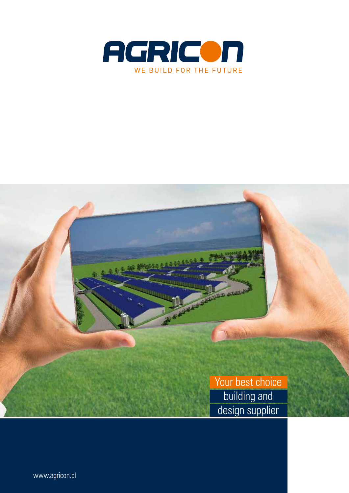



www.agricon.pl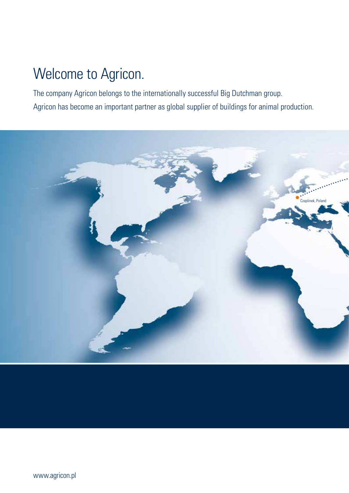## Welcome to Agricon.

The company Agricon belongs to the internationally successful Big Dutchman group. Agricon has become an important partner as global supplier of buildings for animal production.

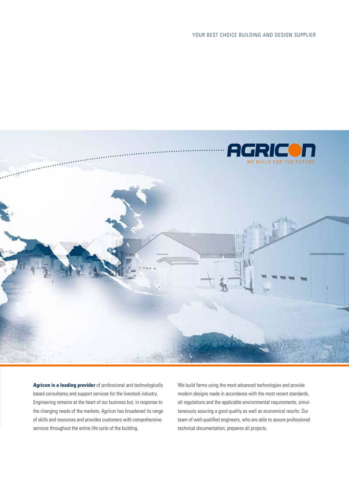YOUR BEST CHOICE BUILDING AND DESIGN SUPPLIER



**Agricon is a leading provider** of professional and technologically based consultancy and support services for the livestock industry. Engineering remains at the heart of our business but, in response to the changing needs of the markets, Agricon has broadened its range of skills and resources and provides customers with comprehensive services throughout the entire life cycle of the building.

We build farms using the most advanced technologies and provide modern designs made in accordance with the most recent standards, all regulations and the applicable environmental requirements, simultaneously assuring a good quality as well as economical results. Our team of well-qualified engineers, who are able to assure professional technical documentation, prepares all projects.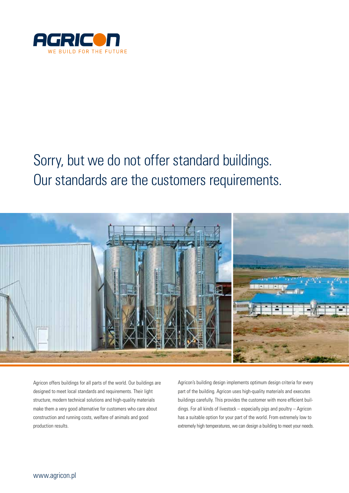

# Sorry, but we do not offer standard buildings. Our standards are the customers requirements.



Agricon offers buildings for all parts of the world. Our buildings are designed to meet local standards and requirements. Their light structure, modern technical solutions and high-quality materials make them a very good alternative for customers who care about construction and running costs, welfare of animals and good production results.

Agricon's building design implements optimum design criteria for every part of the building. Agricon uses high-quality materials and executes buildings carefully. This provides the customer with more efficient buildings. For all kinds of livestock – especially pigs and poultry – Agricon has a suitable option for your part of the world. From extremely low to extremely high temperatures, we can design a building to meet your needs.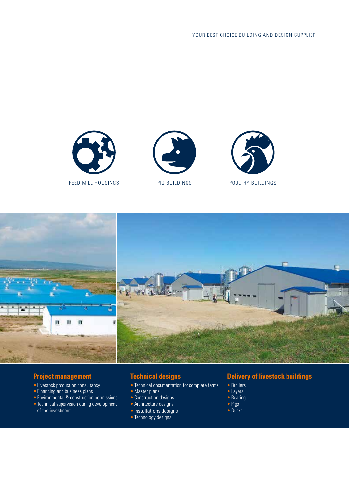







#### **Project management**

- Livestock production consultancy
- Financing and business plans
- Environmental & construction permissions
- Technical supervision during development of the investment

### **Technical designs**

- Technical documentation for complete farms
- Master plans
- Construction designs
- Architecture designs
- •Installations designs
- Technology designs

## **Delivery of livestock buildings**

- Broilers
- Layers
- Rearing
- Pigs
- Ducks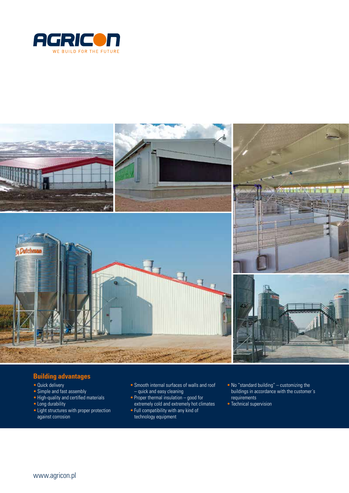



### **Building advantages**

- Quick delivery
- Simple and fast assembly
- High-quality and certified materials
- Long durability
- Light structures with proper protection against corrosion
- Smooth internal surfaces of walls and roof – quick and easy cleaning
- Proper thermal insulation good for extremely cold and extremely hot climates
- Full compatibility with any kind of technology equipment
- No "standard building" customizing the buildings in accordance with the customer´s requirements
- Technical supervision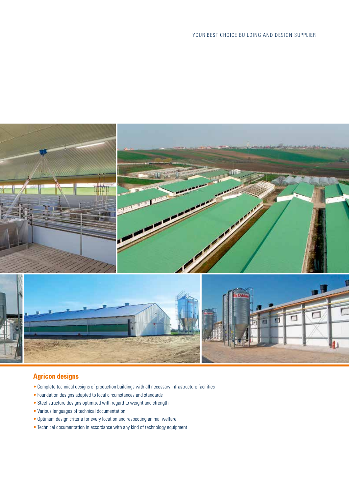

### **Agricon designs**

- Complete technical designs of production buildings with all necessary infrastructure facilities
- Foundation designs adapted to local circumstances and standards
- Steel structure designs optimized with regard to weight and strength
- Various languages of technical documentation
- Optimum design criteria for every location and respecting animal welfare
- Technical documentation in accordance with any kind of technology equipment